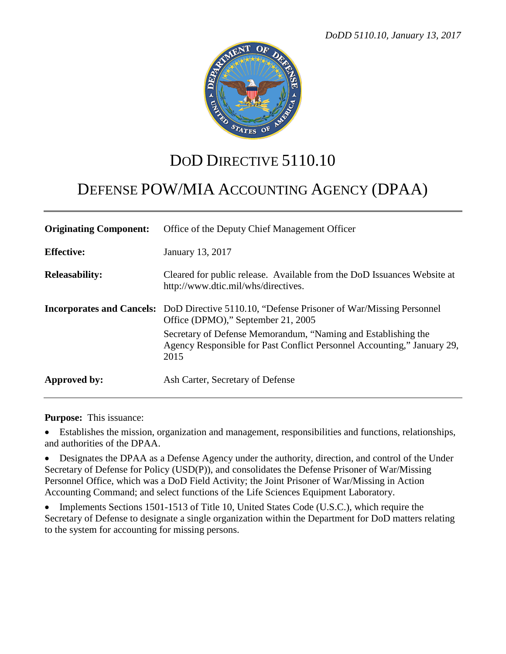

## DOD DIRECTIVE  $5110.10$

# DEFENSE POW/MIA ACCOUNTING AGENCY (DPAA)

| <b>Originating Component:</b> | Office of the Deputy Chief Management Officer                                                                                                    |
|-------------------------------|--------------------------------------------------------------------------------------------------------------------------------------------------|
| <b>Effective:</b>             | January 13, 2017                                                                                                                                 |
| <b>Releasability:</b>         | Cleared for public release. Available from the DoD Issuances Website at<br>http://www.dtic.mil/whs/directives.                                   |
|                               | <b>Incorporates and Cancels:</b> DoD Directive 5110.10, "Defense Prisoner of War/Missing Personnel<br>Office (DPMO)," September 21, 2005         |
|                               | Secretary of Defense Memorandum, "Naming and Establishing the<br>Agency Responsible for Past Conflict Personnel Accounting," January 29,<br>2015 |
| Approved by:                  | Ash Carter, Secretary of Defense                                                                                                                 |

**Purpose:** This issuance:

• Establishes the mission, organization and management, responsibilities and functions, relationships, and authorities of the DPAA.

• Designates the DPAA as a Defense Agency under the authority, direction, and control of the Under Secretary of Defense for Policy (USD(P)), and consolidates the Defense Prisoner of War/Missing Personnel Office, which was a DoD Field Activity; the Joint Prisoner of War/Missing in Action Accounting Command; and select functions of the Life Sciences Equipment Laboratory.

• Implements Sections 1501-1513 of Title 10, United States Code (U.S.C.), which require the Secretary of Defense to designate a single organization within the Department for DoD matters relating to the system for accounting for missing persons.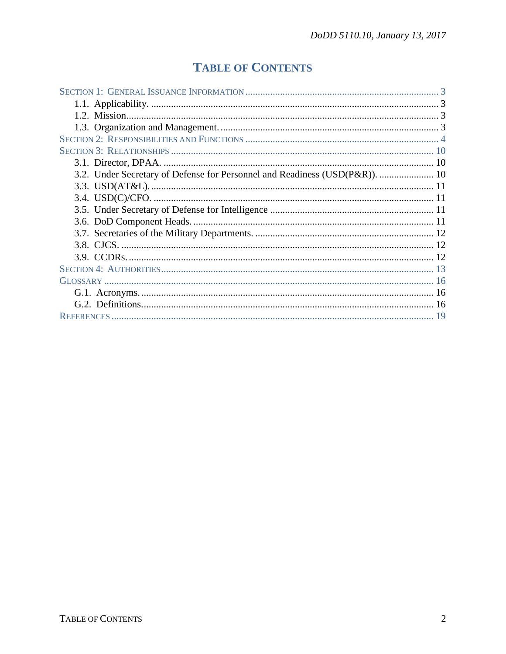## **TABLE OF CONTENTS**

| 3.2. Under Secretary of Defense for Personnel and Readiness (USD(P&R)).  10 |  |  |
|-----------------------------------------------------------------------------|--|--|
|                                                                             |  |  |
|                                                                             |  |  |
|                                                                             |  |  |
|                                                                             |  |  |
|                                                                             |  |  |
|                                                                             |  |  |
|                                                                             |  |  |
|                                                                             |  |  |
|                                                                             |  |  |
|                                                                             |  |  |
|                                                                             |  |  |
|                                                                             |  |  |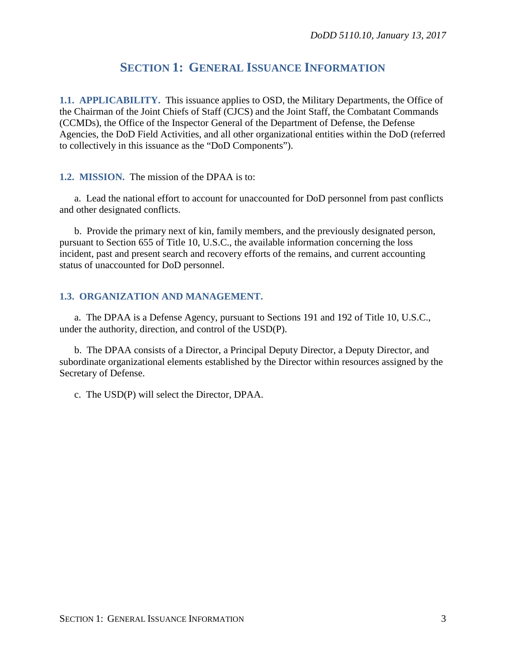## **SECTION 1: GENERAL ISSUANCE INFORMATION**

**1.1. APPLICABILITY.** This issuance applies to OSD, the Military Departments, the Office of the Chairman of the Joint Chiefs of Staff (CJCS) and the Joint Staff, the Combatant Commands (CCMDs), the Office of the Inspector General of the Department of Defense, the Defense Agencies, the DoD Field Activities, and all other organizational entities within the DoD (referred to collectively in this issuance as the "DoD Components").

**1.2. MISSION.** The mission of the DPAA is to:

a. Lead the national effort to account for unaccounted for DoD personnel from past conflicts and other designated conflicts.

b. Provide the primary next of kin, family members, and the previously designated person, pursuant to Section 655 of Title 10, U.S.C., the available information concerning the loss incident, past and present search and recovery efforts of the remains, and current accounting status of unaccounted for DoD personnel.

#### **1.3. ORGANIZATION AND MANAGEMENT.**

a. The DPAA is a Defense Agency, pursuant to Sections 191 and 192 of Title 10, U.S.C., under the authority, direction, and control of the USD(P).

b. The DPAA consists of a Director, a Principal Deputy Director, a Deputy Director, and subordinate organizational elements established by the Director within resources assigned by the Secretary of Defense.

c. The USD(P) will select the Director, DPAA.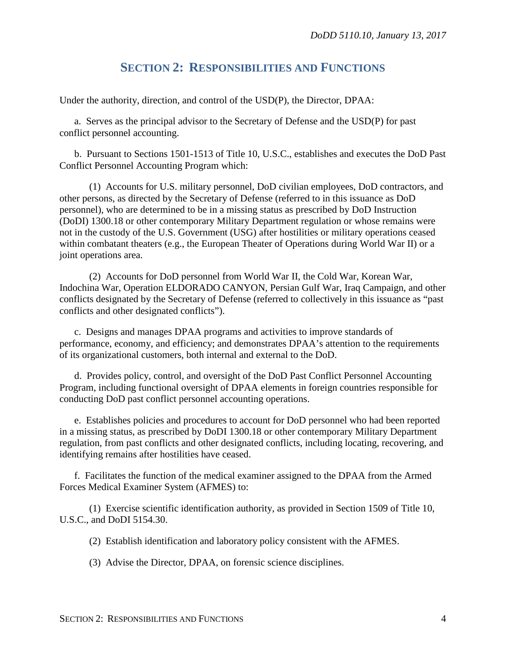## **SECTION 2: RESPONSIBILITIES AND FUNCTIONS**

Under the authority, direction, and control of the USD(P), the Director, DPAA:

a. Serves as the principal advisor to the Secretary of Defense and the USD(P) for past conflict personnel accounting.

b. Pursuant to Sections 1501-1513 of Title 10, U.S.C., establishes and executes the DoD Past Conflict Personnel Accounting Program which:

(1) Accounts for U.S. military personnel, DoD civilian employees, DoD contractors, and other persons, as directed by the Secretary of Defense (referred to in this issuance as DoD personnel), who are determined to be in a missing status as prescribed by DoD Instruction (DoDI) 1300.18 or other contemporary Military Department regulation or whose remains were not in the custody of the U.S. Government (USG) after hostilities or military operations ceased within combatant theaters (e.g., the European Theater of Operations during World War II) or a joint operations area.

(2) Accounts for DoD personnel from World War II, the Cold War, Korean War, Indochina War, Operation ELDORADO CANYON, Persian Gulf War, Iraq Campaign, and other conflicts designated by the Secretary of Defense (referred to collectively in this issuance as "past conflicts and other designated conflicts").

c. Designs and manages DPAA programs and activities to improve standards of performance, economy, and efficiency; and demonstrates DPAA's attention to the requirements of its organizational customers, both internal and external to the DoD.

d. Provides policy, control, and oversight of the DoD Past Conflict Personnel Accounting Program, including functional oversight of DPAA elements in foreign countries responsible for conducting DoD past conflict personnel accounting operations.

e. Establishes policies and procedures to account for DoD personnel who had been reported in a missing status, as prescribed by DoDI 1300.18 or other contemporary Military Department regulation, from past conflicts and other designated conflicts, including locating, recovering, and identifying remains after hostilities have ceased.

f. Facilitates the function of the medical examiner assigned to the DPAA from the Armed Forces Medical Examiner System (AFMES) to:

(1) Exercise scientific identification authority, as provided in Section 1509 of Title 10, U.S.C., and DoDI 5154.30.

(2) Establish identification and laboratory policy consistent with the AFMES.

(3) Advise the Director, DPAA, on forensic science disciplines.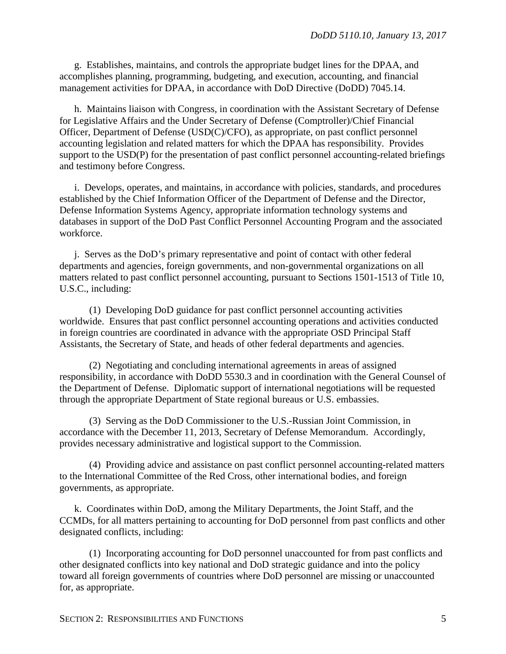g. Establishes, maintains, and controls the appropriate budget lines for the DPAA, and accomplishes planning, programming, budgeting, and execution, accounting, and financial management activities for DPAA, in accordance with DoD Directive (DoDD) 7045.14.

h. Maintains liaison with Congress, in coordination with the Assistant Secretary of Defense for Legislative Affairs and the Under Secretary of Defense (Comptroller)/Chief Financial Officer, Department of Defense (USD(C)/CFO), as appropriate, on past conflict personnel accounting legislation and related matters for which the DPAA has responsibility. Provides support to the USD(P) for the presentation of past conflict personnel accounting-related briefings and testimony before Congress.

i. Develops, operates, and maintains, in accordance with policies, standards, and procedures established by the Chief Information Officer of the Department of Defense and the Director, Defense Information Systems Agency, appropriate information technology systems and databases in support of the DoD Past Conflict Personnel Accounting Program and the associated workforce.

j. Serves as the DoD's primary representative and point of contact with other federal departments and agencies, foreign governments, and non-governmental organizations on all matters related to past conflict personnel accounting, pursuant to Sections 1501-1513 of Title 10, U.S.C., including:

(1) Developing DoD guidance for past conflict personnel accounting activities worldwide. Ensures that past conflict personnel accounting operations and activities conducted in foreign countries are coordinated in advance with the appropriate OSD Principal Staff Assistants, the Secretary of State, and heads of other federal departments and agencies.

(2) Negotiating and concluding international agreements in areas of assigned responsibility, in accordance with DoDD 5530.3 and in coordination with the General Counsel of the Department of Defense. Diplomatic support of international negotiations will be requested through the appropriate Department of State regional bureaus or U.S. embassies.

(3) Serving as the DoD Commissioner to the U.S.-Russian Joint Commission, in accordance with the December 11, 2013, Secretary of Defense Memorandum. Accordingly, provides necessary administrative and logistical support to the Commission.

(4) Providing advice and assistance on past conflict personnel accounting-related matters to the International Committee of the Red Cross, other international bodies, and foreign governments, as appropriate.

k. Coordinates within DoD, among the Military Departments, the Joint Staff, and the CCMDs, for all matters pertaining to accounting for DoD personnel from past conflicts and other designated conflicts, including:

(1) Incorporating accounting for DoD personnel unaccounted for from past conflicts and other designated conflicts into key national and DoD strategic guidance and into the policy toward all foreign governments of countries where DoD personnel are missing or unaccounted for, as appropriate.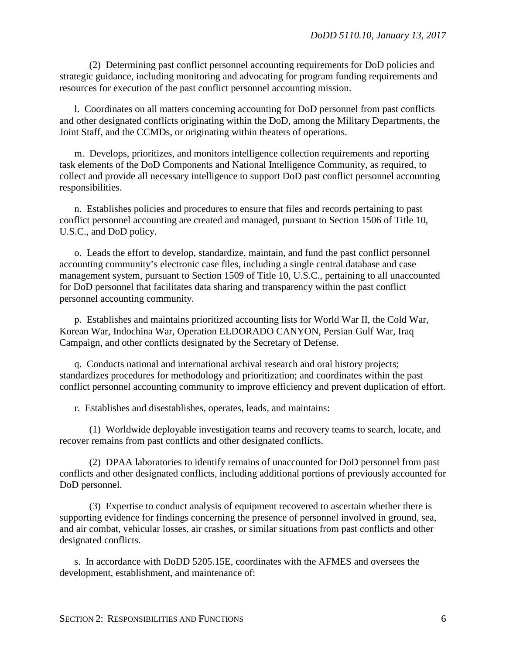(2) Determining past conflict personnel accounting requirements for DoD policies and strategic guidance, including monitoring and advocating for program funding requirements and resources for execution of the past conflict personnel accounting mission.

l. Coordinates on all matters concerning accounting for DoD personnel from past conflicts and other designated conflicts originating within the DoD, among the Military Departments, the Joint Staff, and the CCMDs, or originating within theaters of operations.

m. Develops, prioritizes, and monitors intelligence collection requirements and reporting task elements of the DoD Components and National Intelligence Community, as required, to collect and provide all necessary intelligence to support DoD past conflict personnel accounting responsibilities.

n. Establishes policies and procedures to ensure that files and records pertaining to past conflict personnel accounting are created and managed, pursuant to Section 1506 of Title 10, U.S.C., and DoD policy.

o. Leads the effort to develop, standardize, maintain, and fund the past conflict personnel accounting community's electronic case files, including a single central database and case management system, pursuant to Section 1509 of Title 10, U.S.C., pertaining to all unaccounted for DoD personnel that facilitates data sharing and transparency within the past conflict personnel accounting community.

p. Establishes and maintains prioritized accounting lists for World War II, the Cold War, Korean War, Indochina War, Operation ELDORADO CANYON, Persian Gulf War, Iraq Campaign, and other conflicts designated by the Secretary of Defense.

q. Conducts national and international archival research and oral history projects; standardizes procedures for methodology and prioritization; and coordinates within the past conflict personnel accounting community to improve efficiency and prevent duplication of effort.

r. Establishes and disestablishes, operates, leads, and maintains:

(1) Worldwide deployable investigation teams and recovery teams to search, locate, and recover remains from past conflicts and other designated conflicts.

(2) DPAA laboratories to identify remains of unaccounted for DoD personnel from past conflicts and other designated conflicts, including additional portions of previously accounted for DoD personnel.

(3) Expertise to conduct analysis of equipment recovered to ascertain whether there is supporting evidence for findings concerning the presence of personnel involved in ground, sea, and air combat, vehicular losses, air crashes, or similar situations from past conflicts and other designated conflicts.

s. In accordance with DoDD 5205.15E, coordinates with the AFMES and oversees the development, establishment, and maintenance of: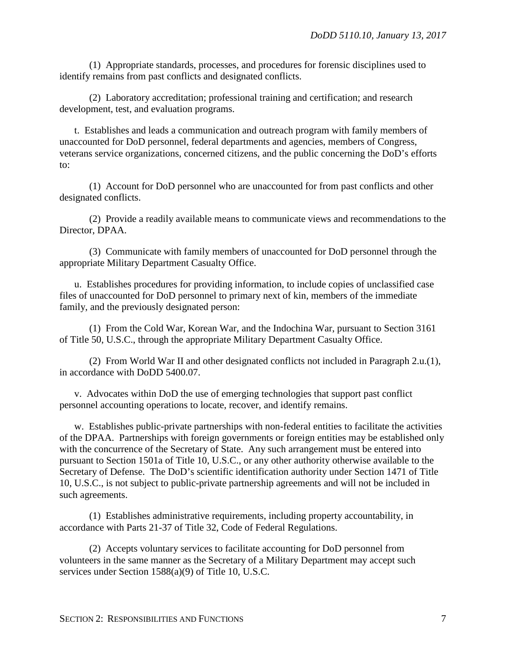(1) Appropriate standards, processes, and procedures for forensic disciplines used to identify remains from past conflicts and designated conflicts.

(2) Laboratory accreditation; professional training and certification; and research development, test, and evaluation programs.

t. Establishes and leads a communication and outreach program with family members of unaccounted for DoD personnel, federal departments and agencies, members of Congress, veterans service organizations, concerned citizens, and the public concerning the DoD's efforts to:

(1) Account for DoD personnel who are unaccounted for from past conflicts and other designated conflicts.

(2) Provide a readily available means to communicate views and recommendations to the Director, DPAA.

(3) Communicate with family members of unaccounted for DoD personnel through the appropriate Military Department Casualty Office.

u. Establishes procedures for providing information, to include copies of unclassified case files of unaccounted for DoD personnel to primary next of kin, members of the immediate family, and the previously designated person:

(1) From the Cold War, Korean War, and the Indochina War, pursuant to Section 3161 of Title 50, U.S.C., through the appropriate Military Department Casualty Office.

(2) From World War II and other designated conflicts not included in Paragraph 2.u.(1), in accordance with DoDD 5400.07.

v. Advocates within DoD the use of emerging technologies that support past conflict personnel accounting operations to locate, recover, and identify remains.

w. Establishes public-private partnerships with non-federal entities to facilitate the activities of the DPAA. Partnerships with foreign governments or foreign entities may be established only with the concurrence of the Secretary of State. Any such arrangement must be entered into pursuant to Section 1501a of Title 10, U.S.C., or any other authority otherwise available to the Secretary of Defense. The DoD's scientific identification authority under Section 1471 of Title 10, U.S.C., is not subject to public-private partnership agreements and will not be included in such agreements.

(1) Establishes administrative requirements, including property accountability, in accordance with Parts 21-37 of Title 32, Code of Federal Regulations.

(2) Accepts voluntary services to facilitate accounting for DoD personnel from volunteers in the same manner as the Secretary of a Military Department may accept such services under Section 1588(a)(9) of Title 10, U.S.C.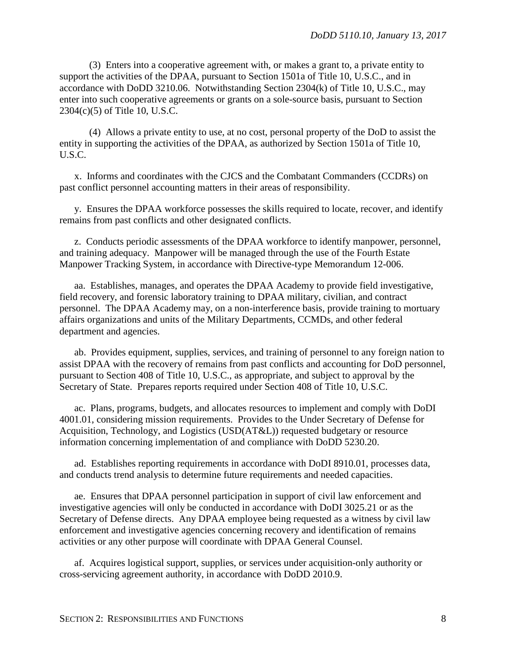(3) Enters into a cooperative agreement with, or makes a grant to, a private entity to support the activities of the DPAA, pursuant to Section 1501a of Title 10, U.S.C., and in accordance with DoDD 3210.06. Notwithstanding Section 2304(k) of Title 10, U.S.C., may enter into such cooperative agreements or grants on a sole-source basis, pursuant to Section 2304(c)(5) of Title 10, U.S.C.

(4) Allows a private entity to use, at no cost, personal property of the DoD to assist the entity in supporting the activities of the DPAA, as authorized by Section 1501a of Title 10, U.S.C.

x. Informs and coordinates with the CJCS and the Combatant Commanders (CCDRs) on past conflict personnel accounting matters in their areas of responsibility.

y. Ensures the DPAA workforce possesses the skills required to locate, recover, and identify remains from past conflicts and other designated conflicts.

z. Conducts periodic assessments of the DPAA workforce to identify manpower, personnel, and training adequacy. Manpower will be managed through the use of the Fourth Estate Manpower Tracking System, in accordance with Directive-type Memorandum 12-006.

aa. Establishes, manages, and operates the DPAA Academy to provide field investigative, field recovery, and forensic laboratory training to DPAA military, civilian, and contract personnel. The DPAA Academy may, on a non-interference basis, provide training to mortuary affairs organizations and units of the Military Departments, CCMDs, and other federal department and agencies.

ab. Provides equipment, supplies, services, and training of personnel to any foreign nation to assist DPAA with the recovery of remains from past conflicts and accounting for DoD personnel, pursuant to Section 408 of Title 10, U.S.C., as appropriate, and subject to approval by the Secretary of State. Prepares reports required under Section 408 of Title 10, U.S.C.

ac. Plans, programs, budgets, and allocates resources to implement and comply with DoDI 4001.01, considering mission requirements. Provides to the Under Secretary of Defense for Acquisition, Technology, and Logistics (USD(AT&L)) requested budgetary or resource information concerning implementation of and compliance with DoDD 5230.20.

ad. Establishes reporting requirements in accordance with DoDI 8910.01, processes data, and conducts trend analysis to determine future requirements and needed capacities.

ae. Ensures that DPAA personnel participation in support of civil law enforcement and investigative agencies will only be conducted in accordance with DoDI 3025.21 or as the Secretary of Defense directs. Any DPAA employee being requested as a witness by civil law enforcement and investigative agencies concerning recovery and identification of remains activities or any other purpose will coordinate with DPAA General Counsel.

af. Acquires logistical support, supplies, or services under acquisition-only authority or cross-servicing agreement authority, in accordance with DoDD 2010.9.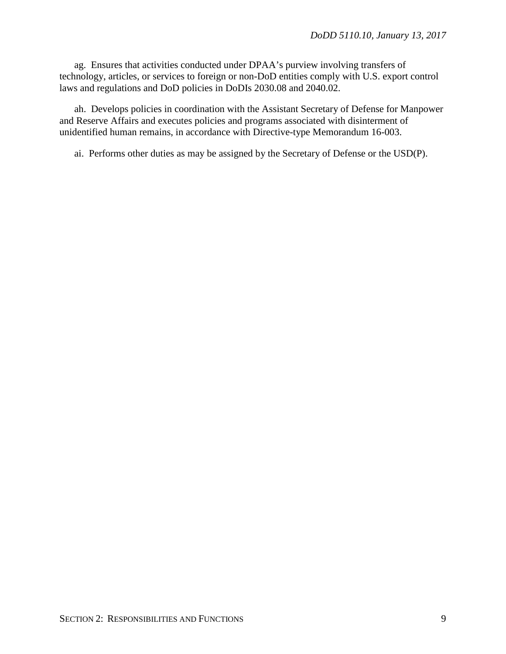ag. Ensures that activities conducted under DPAA's purview involving transfers of technology, articles, or services to foreign or non-DoD entities comply with U.S. export control laws and regulations and DoD policies in DoDIs 2030.08 and 2040.02.

ah. Develops policies in coordination with the Assistant Secretary of Defense for Manpower and Reserve Affairs and executes policies and programs associated with disinterment of unidentified human remains, in accordance with Directive-type Memorandum 16-003.

ai. Performs other duties as may be assigned by the Secretary of Defense or the USD(P).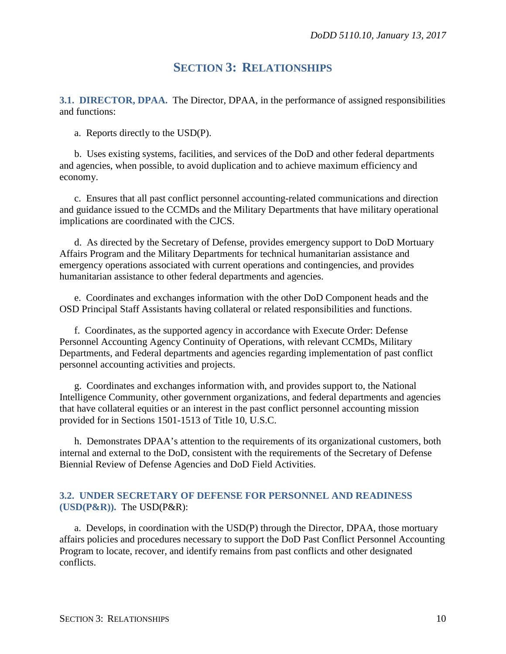### **SECTION 3: RELATIONSHIPS**

**3.1. DIRECTOR, DPAA.** The Director, DPAA, in the performance of assigned responsibilities and functions:

a. Reports directly to the USD(P).

b. Uses existing systems, facilities, and services of the DoD and other federal departments and agencies, when possible, to avoid duplication and to achieve maximum efficiency and economy.

c. Ensures that all past conflict personnel accounting-related communications and direction and guidance issued to the CCMDs and the Military Departments that have military operational implications are coordinated with the CJCS.

d. As directed by the Secretary of Defense, provides emergency support to DoD Mortuary Affairs Program and the Military Departments for technical humanitarian assistance and emergency operations associated with current operations and contingencies, and provides humanitarian assistance to other federal departments and agencies.

e. Coordinates and exchanges information with the other DoD Component heads and the OSD Principal Staff Assistants having collateral or related responsibilities and functions.

f. Coordinates, as the supported agency in accordance with Execute Order: Defense Personnel Accounting Agency Continuity of Operations, with relevant CCMDs, Military Departments, and Federal departments and agencies regarding implementation of past conflict personnel accounting activities and projects.

g. Coordinates and exchanges information with, and provides support to, the National Intelligence Community, other government organizations, and federal departments and agencies that have collateral equities or an interest in the past conflict personnel accounting mission provided for in Sections 1501-1513 of Title 10, U.S.C.

h. Demonstrates DPAA's attention to the requirements of its organizational customers, both internal and external to the DoD, consistent with the requirements of the Secretary of Defense Biennial Review of Defense Agencies and DoD Field Activities.

#### **3.2. UNDER SECRETARY OF DEFENSE FOR PERSONNEL AND READINESS (USD(P&R)).** The USD(P&R):

a. Develops, in coordination with the USD(P) through the Director, DPAA, those mortuary affairs policies and procedures necessary to support the DoD Past Conflict Personnel Accounting Program to locate, recover, and identify remains from past conflicts and other designated conflicts.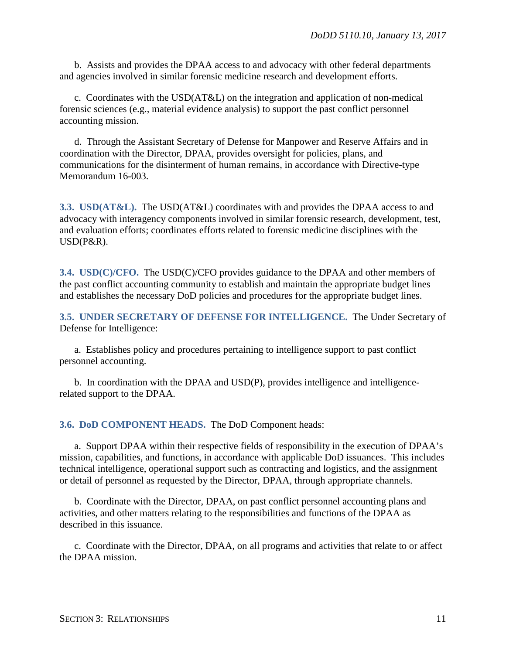b. Assists and provides the DPAA access to and advocacy with other federal departments and agencies involved in similar forensic medicine research and development efforts.

c. Coordinates with the USD(AT&L) on the integration and application of non-medical forensic sciences (e.g., material evidence analysis) to support the past conflict personnel accounting mission.

d. Through the Assistant Secretary of Defense for Manpower and Reserve Affairs and in coordination with the Director, DPAA, provides oversight for policies, plans, and communications for the disinterment of human remains, in accordance with Directive-type Memorandum 16-003.

**3.3. USD(AT&L).** The USD(AT&L) coordinates with and provides the DPAA access to and advocacy with interagency components involved in similar forensic research, development, test, and evaluation efforts; coordinates efforts related to forensic medicine disciplines with the USD(P&R).

**3.4. USD(C)/CFO.** The USD(C)/CFO provides guidance to the DPAA and other members of the past conflict accounting community to establish and maintain the appropriate budget lines and establishes the necessary DoD policies and procedures for the appropriate budget lines.

**3.5. UNDER SECRETARY OF DEFENSE FOR INTELLIGENCE.** The Under Secretary of Defense for Intelligence:

a. Establishes policy and procedures pertaining to intelligence support to past conflict personnel accounting.

b. In coordination with the DPAA and USD(P), provides intelligence and intelligencerelated support to the DPAA.

**3.6. DoD COMPONENT HEADS.** The DoD Component heads:

a. Support DPAA within their respective fields of responsibility in the execution of DPAA's mission, capabilities, and functions, in accordance with applicable DoD issuances. This includes technical intelligence, operational support such as contracting and logistics, and the assignment or detail of personnel as requested by the Director, DPAA, through appropriate channels.

b. Coordinate with the Director, DPAA, on past conflict personnel accounting plans and activities, and other matters relating to the responsibilities and functions of the DPAA as described in this issuance.

c. Coordinate with the Director, DPAA, on all programs and activities that relate to or affect the DPAA mission.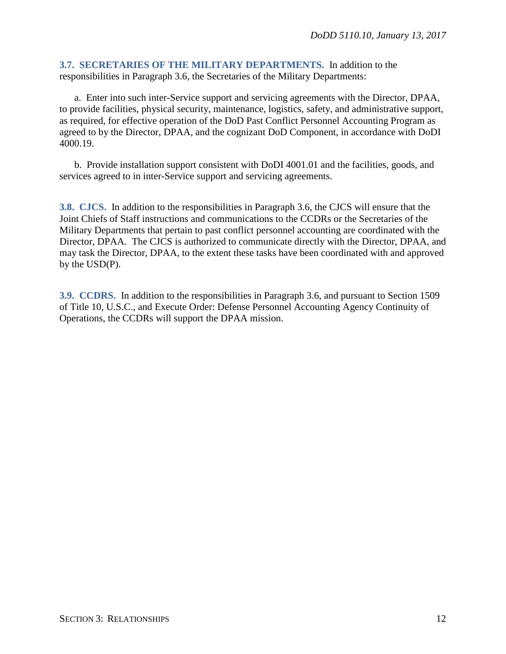**3.7. SECRETARIES OF THE MILITARY DEPARTMENTS.** In addition to the responsibilities in Paragraph 3.6, the Secretaries of the Military Departments:

a. Enter into such inter-Service support and servicing agreements with the Director, DPAA, to provide facilities, physical security, maintenance, logistics, safety, and administrative support, as required, for effective operation of the DoD Past Conflict Personnel Accounting Program as agreed to by the Director, DPAA, and the cognizant DoD Component, in accordance with DoDI 4000.19.

b. Provide installation support consistent with DoDI 4001.01 and the facilities, goods, and services agreed to in inter-Service support and servicing agreements.

**3.8. CJCS.** In addition to the responsibilities in Paragraph 3.6, the CJCS will ensure that the Joint Chiefs of Staff instructions and communications to the CCDRs or the Secretaries of the Military Departments that pertain to past conflict personnel accounting are coordinated with the Director, DPAA. The CJCS is authorized to communicate directly with the Director, DPAA, and may task the Director, DPAA, to the extent these tasks have been coordinated with and approved by the USD(P).

**3.9. CCDRS.** In addition to the responsibilities in Paragraph 3.6, and pursuant to Section 1509 of Title 10, U.S.C., and Execute Order: Defense Personnel Accounting Agency Continuity of Operations, the CCDRs will support the DPAA mission.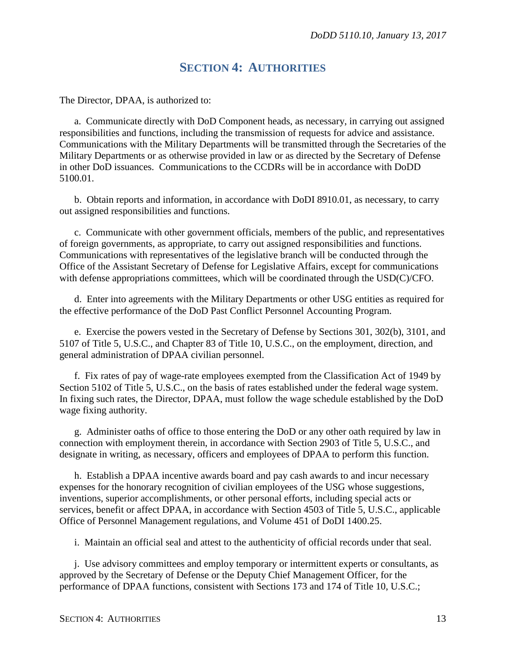### **SECTION 4: AUTHORITIES**

The Director, DPAA, is authorized to:

a. Communicate directly with DoD Component heads, as necessary, in carrying out assigned responsibilities and functions, including the transmission of requests for advice and assistance. Communications with the Military Departments will be transmitted through the Secretaries of the Military Departments or as otherwise provided in law or as directed by the Secretary of Defense in other DoD issuances. Communications to the CCDRs will be in accordance with DoDD 5100.01.

b. Obtain reports and information, in accordance with DoDI 8910.01, as necessary, to carry out assigned responsibilities and functions.

c. Communicate with other government officials, members of the public, and representatives of foreign governments, as appropriate, to carry out assigned responsibilities and functions. Communications with representatives of the legislative branch will be conducted through the Office of the Assistant Secretary of Defense for Legislative Affairs, except for communications with defense appropriations committees, which will be coordinated through the USD(C)/CFO.

d. Enter into agreements with the Military Departments or other USG entities as required for the effective performance of the DoD Past Conflict Personnel Accounting Program.

e. Exercise the powers vested in the Secretary of Defense by Sections 301, 302(b), 3101, and 5107 of Title 5, U.S.C., and Chapter 83 of Title 10, U.S.C., on the employment, direction, and general administration of DPAA civilian personnel.

f. Fix rates of pay of wage-rate employees exempted from the Classification Act of 1949 by Section 5102 of Title 5, U.S.C., on the basis of rates established under the federal wage system. In fixing such rates, the Director, DPAA, must follow the wage schedule established by the DoD wage fixing authority.

g. Administer oaths of office to those entering the DoD or any other oath required by law in connection with employment therein, in accordance with Section 2903 of Title 5, U.S.C., and designate in writing, as necessary, officers and employees of DPAA to perform this function.

h. Establish a DPAA incentive awards board and pay cash awards to and incur necessary expenses for the honorary recognition of civilian employees of the USG whose suggestions, inventions, superior accomplishments, or other personal efforts, including special acts or services, benefit or affect DPAA, in accordance with Section 4503 of Title 5, U.S.C., applicable Office of Personnel Management regulations, and Volume 451 of DoDI 1400.25.

i. Maintain an official seal and attest to the authenticity of official records under that seal.

j. Use advisory committees and employ temporary or intermittent experts or consultants, as approved by the Secretary of Defense or the Deputy Chief Management Officer, for the performance of DPAA functions, consistent with Sections 173 and 174 of Title 10, U.S.C.;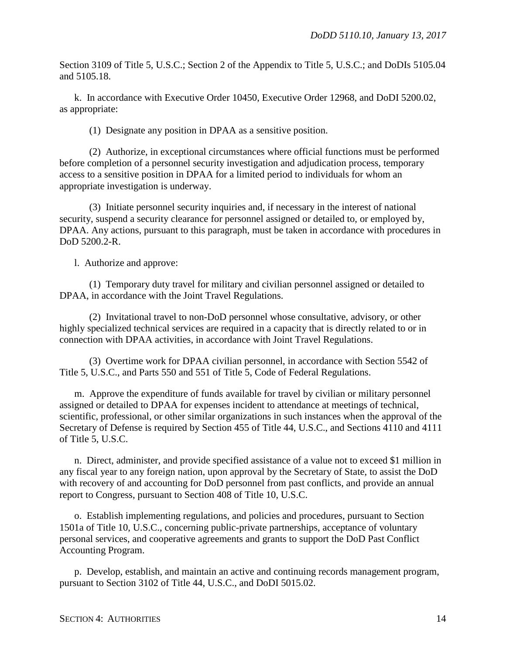Section 3109 of Title 5, U.S.C.; Section 2 of the Appendix to Title 5, U.S.C.; and DoDIs 5105.04 and 5105.18.

k. In accordance with Executive Order 10450, Executive Order 12968, and DoDI 5200.02, as appropriate:

(1) Designate any position in DPAA as a sensitive position.

(2) Authorize, in exceptional circumstances where official functions must be performed before completion of a personnel security investigation and adjudication process, temporary access to a sensitive position in DPAA for a limited period to individuals for whom an appropriate investigation is underway.

(3) Initiate personnel security inquiries and, if necessary in the interest of national security, suspend a security clearance for personnel assigned or detailed to, or employed by, DPAA. Any actions, pursuant to this paragraph, must be taken in accordance with procedures in DoD 5200.2-R.

l. Authorize and approve:

(1) Temporary duty travel for military and civilian personnel assigned or detailed to DPAA, in accordance with the Joint Travel Regulations.

(2) Invitational travel to non-DoD personnel whose consultative, advisory, or other highly specialized technical services are required in a capacity that is directly related to or in connection with DPAA activities, in accordance with Joint Travel Regulations.

(3) Overtime work for DPAA civilian personnel, in accordance with Section 5542 of Title 5, U.S.C., and Parts 550 and 551 of Title 5, Code of Federal Regulations.

m. Approve the expenditure of funds available for travel by civilian or military personnel assigned or detailed to DPAA for expenses incident to attendance at meetings of technical, scientific, professional, or other similar organizations in such instances when the approval of the Secretary of Defense is required by Section 455 of Title 44, U.S.C., and Sections 4110 and 4111 of Title 5, U.S.C.

n. Direct, administer, and provide specified assistance of a value not to exceed \$1 million in any fiscal year to any foreign nation, upon approval by the Secretary of State, to assist the DoD with recovery of and accounting for DoD personnel from past conflicts, and provide an annual report to Congress, pursuant to Section 408 of Title 10, U.S.C.

o. Establish implementing regulations, and policies and procedures, pursuant to Section 1501a of Title 10, U.S.C., concerning public-private partnerships, acceptance of voluntary personal services, and cooperative agreements and grants to support the DoD Past Conflict Accounting Program.

p. Develop, establish, and maintain an active and continuing records management program, pursuant to Section 3102 of Title 44, U.S.C., and DoDI 5015.02.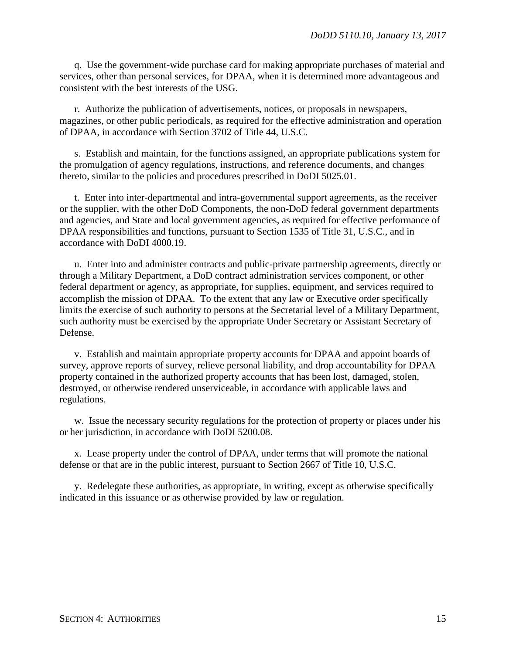q. Use the government-wide purchase card for making appropriate purchases of material and services, other than personal services, for DPAA, when it is determined more advantageous and consistent with the best interests of the USG.

r. Authorize the publication of advertisements, notices, or proposals in newspapers, magazines, or other public periodicals, as required for the effective administration and operation of DPAA, in accordance with Section 3702 of Title 44, U.S.C.

s. Establish and maintain, for the functions assigned, an appropriate publications system for the promulgation of agency regulations, instructions, and reference documents, and changes thereto, similar to the policies and procedures prescribed in DoDI 5025.01.

t. Enter into inter-departmental and intra-governmental support agreements, as the receiver or the supplier, with the other DoD Components, the non-DoD federal government departments and agencies, and State and local government agencies, as required for effective performance of DPAA responsibilities and functions, pursuant to Section 1535 of Title 31, U.S.C., and in accordance with DoDI 4000.19.

u. Enter into and administer contracts and public-private partnership agreements, directly or through a Military Department, a DoD contract administration services component, or other federal department or agency, as appropriate, for supplies, equipment, and services required to accomplish the mission of DPAA. To the extent that any law or Executive order specifically limits the exercise of such authority to persons at the Secretarial level of a Military Department, such authority must be exercised by the appropriate Under Secretary or Assistant Secretary of Defense.

v. Establish and maintain appropriate property accounts for DPAA and appoint boards of survey, approve reports of survey, relieve personal liability, and drop accountability for DPAA property contained in the authorized property accounts that has been lost, damaged, stolen, destroyed, or otherwise rendered unserviceable, in accordance with applicable laws and regulations.

w. Issue the necessary security regulations for the protection of property or places under his or her jurisdiction, in accordance with DoDI 5200.08.

x. Lease property under the control of DPAA, under terms that will promote the national defense or that are in the public interest, pursuant to Section 2667 of Title 10, U.S.C.

y. Redelegate these authorities, as appropriate, in writing, except as otherwise specifically indicated in this issuance or as otherwise provided by law or regulation.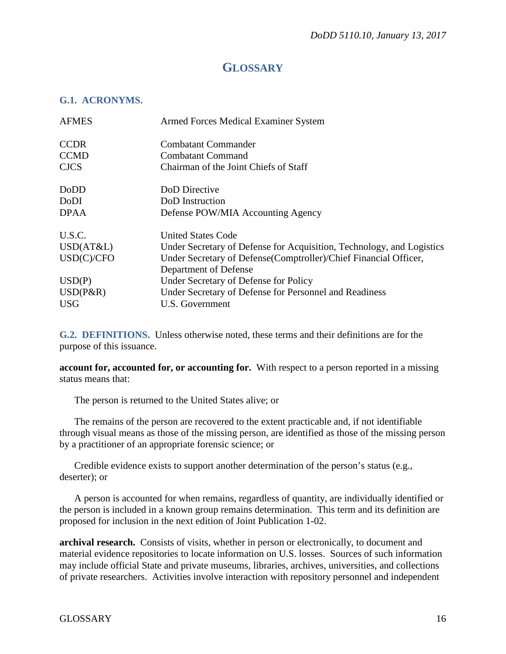## **GLOSSARY**

#### **G.1. ACRONYMS.**

| <b>AFMES</b> | Armed Forces Medical Examiner System                                  |
|--------------|-----------------------------------------------------------------------|
| <b>CCDR</b>  | <b>Combatant Commander</b>                                            |
| <b>CCMD</b>  | <b>Combatant Command</b>                                              |
| <b>CJCS</b>  | Chairman of the Joint Chiefs of Staff                                 |
| DoDD         | DoD Directive                                                         |
| DoDI         | DoD Instruction                                                       |
| <b>DPAA</b>  | Defense POW/MIA Accounting Agency                                     |
| U.S.C.       | United States Code                                                    |
| USD(AT&L)    | Under Secretary of Defense for Acquisition, Technology, and Logistics |
| USD(C)/CFO   | Under Secretary of Defense(Comptroller)/Chief Financial Officer,      |
|              | Department of Defense                                                 |
| USD(P)       | Under Secretary of Defense for Policy                                 |
| $USD(P\&R)$  | Under Secretary of Defense for Personnel and Readiness                |
| <b>USG</b>   | U.S. Government                                                       |

**G.2. DEFINITIONS.** Unless otherwise noted, these terms and their definitions are for the purpose of this issuance.

**account for, accounted for, or accounting for.** With respect to a person reported in a missing status means that:

The person is returned to the United States alive; or

The remains of the person are recovered to the extent practicable and, if not identifiable through visual means as those of the missing person, are identified as those of the missing person by a practitioner of an appropriate forensic science; or

Credible evidence exists to support another determination of the person's status (e.g., deserter); or

A person is accounted for when remains, regardless of quantity, are individually identified or the person is included in a known group remains determination. This term and its definition are proposed for inclusion in the next edition of Joint Publication 1-02.

**archival research.** Consists of visits, whether in person or electronically, to document and material evidence repositories to locate information on U.S. losses. Sources of such information may include official State and private museums, libraries, archives, universities, and collections of private researchers. Activities involve interaction with repository personnel and independent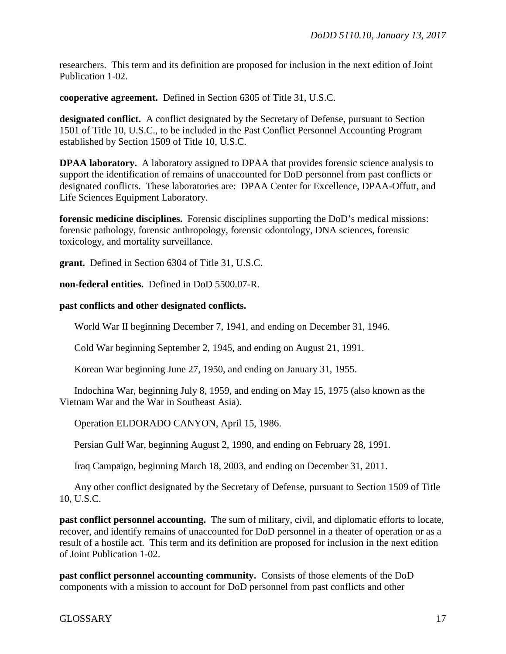researchers. This term and its definition are proposed for inclusion in the next edition of Joint Publication 1-02.

**cooperative agreement.** Defined in Section 6305 of Title 31, U.S.C.

**designated conflict.** A conflict designated by the Secretary of Defense, pursuant to Section 1501 of Title 10, U.S.C., to be included in the Past Conflict Personnel Accounting Program established by Section 1509 of Title 10, U.S.C.

**DPAA laboratory.** A laboratory assigned to DPAA that provides forensic science analysis to support the identification of remains of unaccounted for DoD personnel from past conflicts or designated conflicts. These laboratories are: DPAA Center for Excellence, DPAA-Offutt, and Life Sciences Equipment Laboratory.

**forensic medicine disciplines.** Forensic disciplines supporting the DoD's medical missions: forensic pathology, forensic anthropology, forensic odontology, DNA sciences, forensic toxicology, and mortality surveillance.

**grant.** Defined in Section 6304 of Title 31, U.S.C.

**non-federal entities.** Defined in DoD 5500.07-R.

#### **past conflicts and other designated conflicts.**

World War II beginning December 7, 1941, and ending on December 31, 1946.

Cold War beginning September 2, 1945, and ending on August 21, 1991.

Korean War beginning June 27, 1950, and ending on January 31, 1955.

Indochina War, beginning July 8, 1959, and ending on May 15, 1975 (also known as the Vietnam War and the War in Southeast Asia).

Operation ELDORADO CANYON, April 15, 1986.

Persian Gulf War, beginning August 2, 1990, and ending on February 28, 1991.

Iraq Campaign, beginning March 18, 2003, and ending on December 31, 2011.

Any other conflict designated by the Secretary of Defense, pursuant to Section 1509 of Title 10, U.S.C.

**past conflict personnel accounting.** The sum of military, civil, and diplomatic efforts to locate, recover, and identify remains of unaccounted for DoD personnel in a theater of operation or as a result of a hostile act. This term and its definition are proposed for inclusion in the next edition of Joint Publication 1-02.

**past conflict personnel accounting community.** Consists of those elements of the DoD components with a mission to account for DoD personnel from past conflicts and other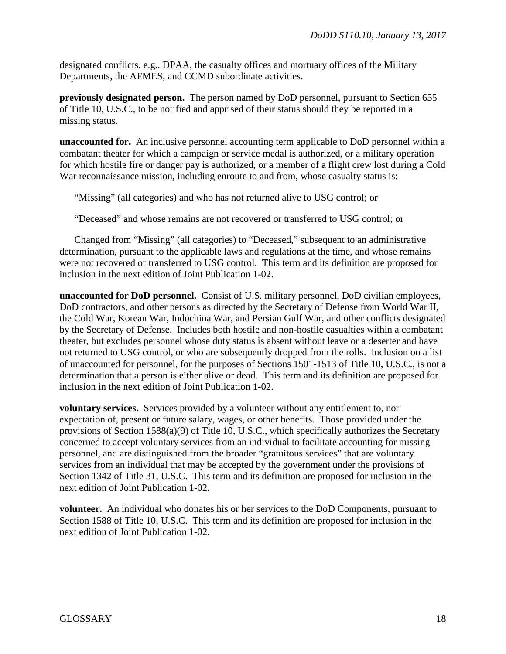designated conflicts, e.g., DPAA, the casualty offices and mortuary offices of the Military Departments, the AFMES, and CCMD subordinate activities.

**previously designated person.** The person named by DoD personnel, pursuant to Section 655 of Title 10, U.S.C., to be notified and apprised of their status should they be reported in a missing status.

**unaccounted for.** An inclusive personnel accounting term applicable to DoD personnel within a combatant theater for which a campaign or service medal is authorized, or a military operation for which hostile fire or danger pay is authorized, or a member of a flight crew lost during a Cold War reconnaissance mission, including enroute to and from, whose casualty status is:

"Missing" (all categories) and who has not returned alive to USG control; or

"Deceased" and whose remains are not recovered or transferred to USG control; or

Changed from "Missing" (all categories) to "Deceased," subsequent to an administrative determination, pursuant to the applicable laws and regulations at the time, and whose remains were not recovered or transferred to USG control. This term and its definition are proposed for inclusion in the next edition of Joint Publication 1-02.

**unaccounted for DoD personnel.** Consist of U.S. military personnel, DoD civilian employees, DoD contractors, and other persons as directed by the Secretary of Defense from World War II, the Cold War, Korean War, Indochina War, and Persian Gulf War, and other conflicts designated by the Secretary of Defense. Includes both hostile and non-hostile casualties within a combatant theater, but excludes personnel whose duty status is absent without leave or a deserter and have not returned to USG control, or who are subsequently dropped from the rolls. Inclusion on a list of unaccounted for personnel, for the purposes of Sections 1501-1513 of Title 10, U.S.C., is not a determination that a person is either alive or dead. This term and its definition are proposed for inclusion in the next edition of Joint Publication 1-02.

**voluntary services.** Services provided by a volunteer without any entitlement to, nor expectation of, present or future salary, wages, or other benefits. Those provided under the provisions of Section 1588(a)(9) of Title 10, U.S.C., which specifically authorizes the Secretary concerned to accept voluntary services from an individual to facilitate accounting for missing personnel, and are distinguished from the broader "gratuitous services" that are voluntary services from an individual that may be accepted by the government under the provisions of Section 1342 of Title 31, U.S.C. This term and its definition are proposed for inclusion in the next edition of Joint Publication 1-02.

**volunteer.** An individual who donates his or her services to the DoD Components, pursuant to Section 1588 of Title 10, U.S.C. This term and its definition are proposed for inclusion in the next edition of Joint Publication 1-02.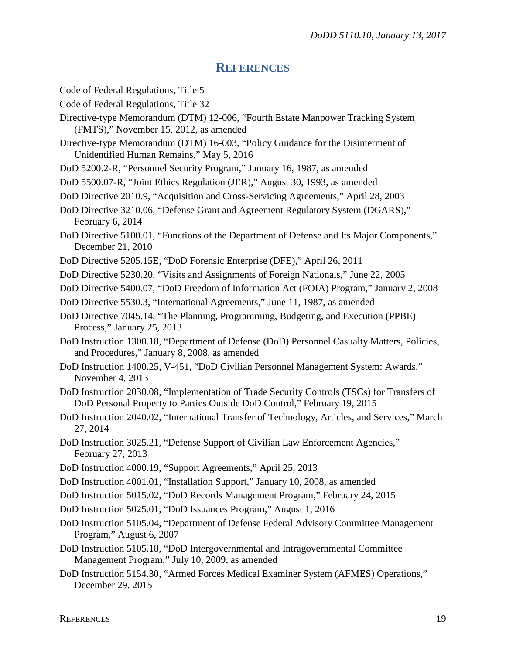#### **REFERENCES**

Code of Federal Regulations, Title 5

- Code of Federal Regulations, Title 32
- Directive-type Memorandum (DTM) 12-006, "Fourth Estate Manpower Tracking System (FMTS)," November 15, 2012, as amended

Directive-type Memorandum (DTM) 16-003, "Policy Guidance for the Disinterment of Unidentified Human Remains," May 5, 2016

DoD 5200.2-R, "Personnel Security Program," January 16, 1987, as amended

- DoD 5500.07-R, "Joint Ethics Regulation (JER)," August 30, 1993, as amended
- DoD Directive 2010.9, "Acquisition and Cross-Servicing Agreements," April 28, 2003

DoD Directive 3210.06, "Defense Grant and Agreement Regulatory System (DGARS)," February 6, 2014

- DoD Directive 5100.01, "Functions of the Department of Defense and Its Major Components," December 21, 2010
- DoD Directive 5205.15E, "DoD Forensic Enterprise (DFE)," April 26, 2011
- DoD Directive 5230.20, "Visits and Assignments of Foreign Nationals," June 22, 2005

DoD Directive 5400.07, "DoD Freedom of Information Act (FOIA) Program," January 2, 2008

- DoD Directive 5530.3, "International Agreements," June 11, 1987, as amended
- DoD Directive 7045.14, "The Planning, Programming, Budgeting, and Execution (PPBE) Process," January 25, 2013
- DoD Instruction 1300.18, "Department of Defense (DoD) Personnel Casualty Matters, Policies, and Procedures," January 8, 2008, as amended
- DoD Instruction 1400.25, V-451, "DoD Civilian Personnel Management System: Awards," November 4, 2013
- DoD Instruction 2030.08, "Implementation of Trade Security Controls (TSCs) for Transfers of DoD Personal Property to Parties Outside DoD Control," February 19, 2015
- DoD Instruction 2040.02, "International Transfer of Technology, Articles, and Services," March 27, 2014
- DoD Instruction 3025.21, "Defense Support of Civilian Law Enforcement Agencies," February 27, 2013
- DoD Instruction 4000.19, "Support Agreements," April 25, 2013

DoD Instruction 4001.01, "Installation Support," January 10, 2008, as amended

DoD Instruction 5015.02, "DoD Records Management Program," February 24, 2015

- DoD Instruction 5025.01, "DoD Issuances Program," August 1, 2016
- DoD Instruction 5105.04, "Department of Defense Federal Advisory Committee Management Program," August 6, 2007
- DoD Instruction 5105.18, "DoD Intergovernmental and Intragovernmental Committee Management Program," July 10, 2009, as amended
- DoD Instruction 5154.30, "Armed Forces Medical Examiner System (AFMES) Operations," December 29, 2015